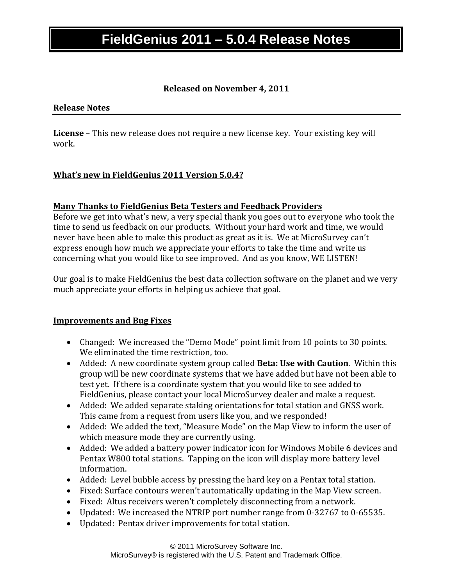# **FieldGenius 2011 – 5.0.4 Release Notes**

### **Released on November 4, 2011**

#### **Release Notes**

**License** – This new release does not require a new license key. Your existing key will work.

### **What's new in FieldGenius 2011 Version 5.0.4?**

#### **Many Thanks to FieldGenius Beta Testers and Feedback Providers**

Before we get into what's new, a very special thank you goes out to everyone who took the time to send us feedback on our products. Without your hard work and time, we would never have been able to make this product as great as it is. We at MicroSurvey can't express enough how much we appreciate your efforts to take the time and write us concerning what you would like to see improved. And as you know, WE LISTEN!

Our goal is to make FieldGenius the best data collection software on the planet and we very much appreciate your efforts in helping us achieve that goal.

#### **Improvements and Bug Fixes**

- Changed: We increased the "Demo Mode" point limit from 10 points to 30 points. We eliminated the time restriction, too.
- Added: A new coordinate system group called **Beta: Use with Caution**. Within this group will be new coordinate systems that we have added but have not been able to test yet. If there is a coordinate system that you would like to see added to FieldGenius, please contact your local MicroSurvey dealer and make a request.
- Added: We added separate staking orientations for total station and GNSS work. This came from a request from users like you, and we responded!
- Added: We added the text, "Measure Mode" on the Map View to inform the user of which measure mode they are currently using.
- Added: We added a battery power indicator icon for Windows Mobile 6 devices and Pentax W800 total stations. Tapping on the icon will display more battery level information.
- Added: Level bubble access by pressing the hard key on a Pentax total station.
- Fixed: Surface contours weren't automatically updating in the Map View screen.
- Fixed: Altus receivers weren't completely disconnecting from a network.
- Updated: We increased the NTRIP port number range from 0-32767 to 0-65535.
- Updated: Pentax driver improvements for total station.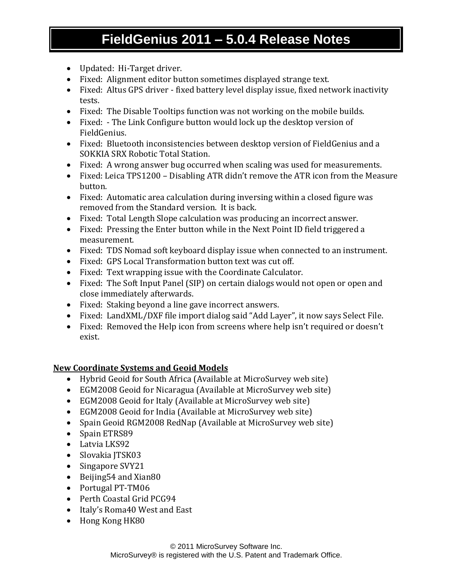# **FieldGenius 2011 – 5.0.4 Release Notes**

- Updated: Hi-Target driver.
- Fixed: Alignment editor button sometimes displayed strange text.
- Fixed: Altus GPS driver fixed battery level display issue, fixed network inactivity tests.
- Fixed: The Disable Tooltips function was not working on the mobile builds.
- Fixed: The Link Configure button would lock up the desktop version of FieldGenius.
- Fixed: Bluetooth inconsistencies between desktop version of FieldGenius and a SOKKIA SRX Robotic Total Station.
- Fixed: A wrong answer bug occurred when scaling was used for measurements.
- Fixed: Leica TPS1200 Disabling ATR didn't remove the ATR icon from the Measure button.
- Fixed: Automatic area calculation during inversing within a closed figure was removed from the Standard version. It is back.
- Fixed: Total Length Slope calculation was producing an incorrect answer.
- Fixed: Pressing the Enter button while in the Next Point ID field triggered a measurement.
- Fixed: TDS Nomad soft keyboard display issue when connected to an instrument.
- Fixed: GPS Local Transformation button text was cut off.
- Fixed: Text wrapping issue with the Coordinate Calculator.
- Fixed: The Soft Input Panel (SIP) on certain dialogs would not open or open and close immediately afterwards.
- Fixed: Staking beyond a line gave incorrect answers.
- Fixed: LandXML/DXF file import dialog said "Add Layer", it now says Select File.
- Fixed: Removed the Help icon from screens where help isn't required or doesn't exist.

## **New Coordinate Systems and Geoid Models**

- Hybrid Geoid for South Africa (Available at MicroSurvey web site)
- EGM2008 Geoid for Nicaragua (Available at MicroSurvey web site)
- EGM2008 Geoid for Italy (Available at MicroSurvey web site)
- EGM2008 Geoid for India (Available at MicroSurvey web site)
- Spain Geoid RGM2008 RedNap (Available at MicroSurvey web site)
- Spain ETRS89
- Latvia LKS92
- Slovakia JTSK03
- Singapore SVY21
- Beijing54 and Xian80
- Portugal PT-TM06
- Perth Coastal Grid PCG94
- Italy's Roma40 West and East
- Hong Kong HK80